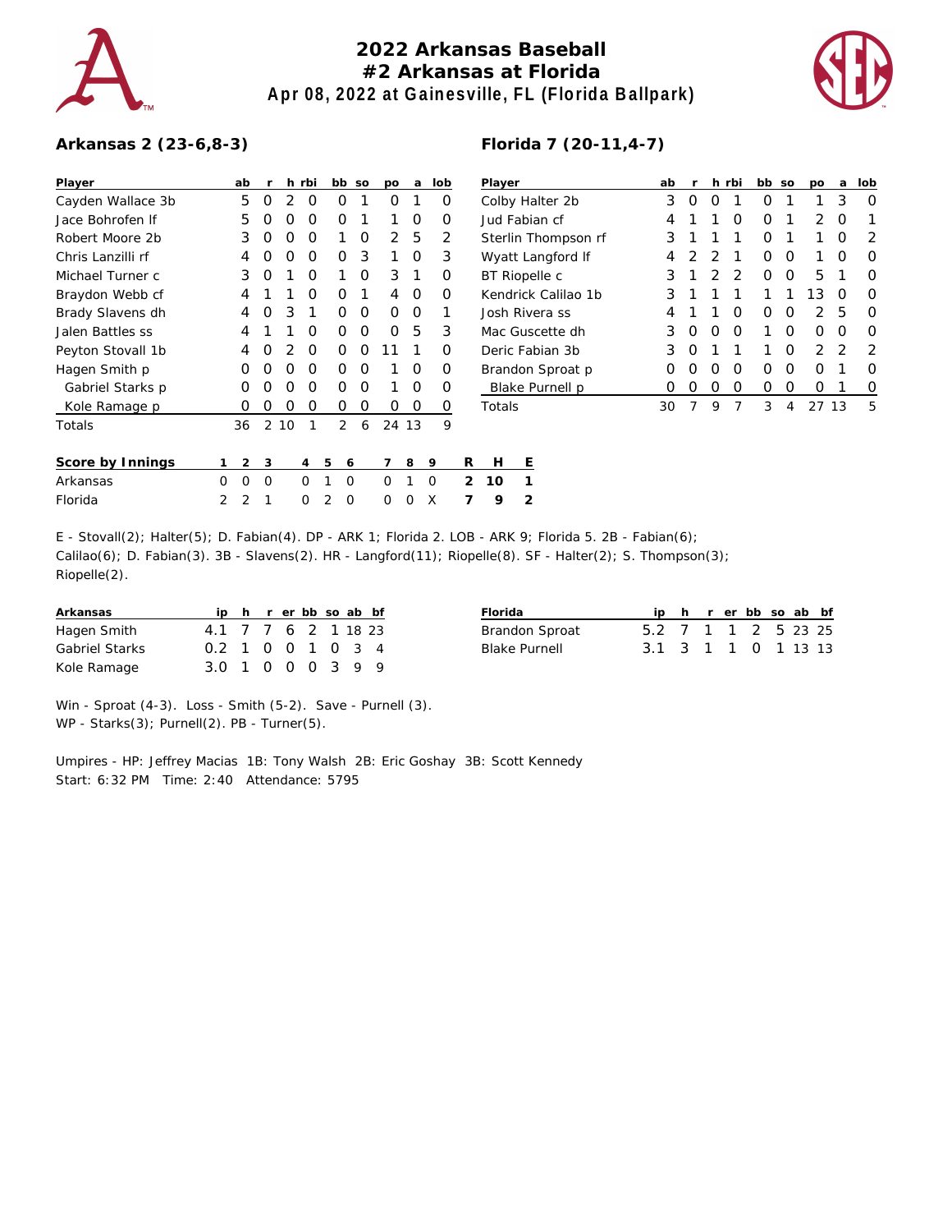

## **2022 Arkansas Baseball #2 Arkansas at Florida Apr 08, 2022 at Gainesville, FL (Florida Ballpark)**



## **Arkansas 2 (23-6,8-3)**

| Player            |   | ab | r |    | h rbi |                | bb             | SO | DО            | a     | lob |   | Player          |   |  |
|-------------------|---|----|---|----|-------|----------------|----------------|----|---------------|-------|-----|---|-----------------|---|--|
| Cayden Wallace 3b |   | 5  | O | 2  | O     |                | O              | 1  | O             | 1     | O   |   | Colby Ha        |   |  |
| Jace Bohrofen If  |   | 5  | O | O  | O     |                | Ο              | 1  | 1             | O     | Ο   |   | Jud Fabi        |   |  |
| Robert Moore 2b   |   | 3  | O | O  | O     |                | 1              | O  | $\mathcal{P}$ | 5     | 2   |   | Sterlin T       |   |  |
| Chris Lanzilli rf |   | 4  | O | O  | O     |                | Ο              | 3  | 1             | O     | 3   |   | Wyatt La        |   |  |
| Michael Turner c  |   | 3  | O | 1  | O     |                | 1              | O  | 3             | 1     | O   |   | <b>BT Riope</b> |   |  |
| Braydon Webb cf   |   | 4  | 1 | 1  | O     |                | Ω              | 1  | 4             | O     | O   |   | Kendrick        |   |  |
| Brady Slavens dh  |   | 4  | O | 3  | 1     |                | Ω              | O  | O             | O     | 1   |   | Josh Riv        |   |  |
| Jalen Battles ss  |   | 4  | 1 | 1  | O     |                | O              | O  | O             | 5     | 3   |   | Mac Gus         |   |  |
| Peyton Stovall 1b |   | 4  | O | 2  | O     |                | O              | O  | 11            | 1     | O   |   | Deric Fa        |   |  |
| Hagen Smith p     |   | O  | O | O  | O     |                | Ο              | O  | 1             | O     | O   |   | Brandon         |   |  |
| Gabriel Starks p  |   | O  | Ω | O  | O     |                | Ω              | O  | 1             | O     | Ο   |   | <b>Blake</b> F  |   |  |
| Kole Ramage p     |   | O  | O | O  | Ο     |                | Ο              | O  | O             | O     | O   |   | Totals          |   |  |
| Totals            |   | 36 | 2 | 10 | 1     |                | $\overline{2}$ | 6  |               | 24 13 | 9   |   |                 |   |  |
| Score by Innings  | 1 | 2  | 3 |    | 4     | 5              | 6              |    | 7             | 8     | 9   | R | Н               | Е |  |
| Arkansas          | Ω | O  | O |    | O     | 1              | O              |    | O             | 1     | O   | 2 | 10              | 1 |  |
| Florida           | 2 | 2  | 1 |    | O     | $\overline{2}$ | $\Omega$       |    | O             | Ω     | X   |   | 9               | 2 |  |

| Player              | ab  | r                |                  | h rbi | bb               | SO               | po            | a  | lob |
|---------------------|-----|------------------|------------------|-------|------------------|------------------|---------------|----|-----|
| Colby Halter 2b     | 3   | $\left( \right)$ | 0                | 1     | $\left( \right)$ | 1                | 1             | 3  | Ω   |
| Jud Fabian cf       | 4   | 1                | 1                | Ω     | O                | 1                | $\mathcal{P}$ | O  |     |
| Sterlin Thompson rf | 3   | 1                | 1                | 1     | Ω                | 1                | 1             | O  | 2   |
| Wyatt Langford If   | 4   | $\mathcal{P}$    | $\mathcal{P}$    | 1     | Ω                | O                | 1             | O  | Ω   |
| BT Riopelle c       | 3   | 1                | 2                | 2     | Ω                | Ω                | 5             | 1  | Ω   |
| Kendrick Calilao 1b | 3   | 1                | 1                | 1     | 1                | 1                | 13            | O  | ∩   |
| Josh Rivera ss      | 4   | 1                | 1                | ∩     | $\left( \right)$ | Ω                | 2             | 5  | ∩   |
| Mac Guscette dh     | 3   | $\left( \right)$ | $\left( \right)$ | Ω     |                  | Ω                | Ω             | O  | Ω   |
| Deric Fabian 3b     | 3   | O                | 1                | 1     | 1                | ∩                | 2             | 2  | 2   |
| Brandon Sproat p    | 0   | $\left( \right)$ | Ω                | Ω     | Ω                | Ω                | ∩             | 1  | ∩   |
| Blake Purnell p     | ( ) | 0                | 0                | Ω     | 0                | $\left( \right)$ | Ω             |    | O)  |
| Totals              | 30  |                  | 9                | 7     | 3                | 4                | 27            | 13 | 5   |

| E - Stovall(2); Halter(5); D. Fabian(4). DP - ARK 1; Florida 2. LOB - ARK 9; Florida 5. 2B - Fabian(6);    |
|------------------------------------------------------------------------------------------------------------|
| Calilao(6); D. Fabian(3). 3B - Slavens(2). HR - Langford(11); Riopelle(8). SF - Halter(2); S. Thompson(3); |
| $Ripelle(2)$ .                                                                                             |

| Arkansas       |                     |  |  |  | ip h r er bb so ab bf | Florida               |                     |  | ip h r er bb so ab bf |  |  |
|----------------|---------------------|--|--|--|-----------------------|-----------------------|---------------------|--|-----------------------|--|--|
| Hagen Smith    | 4.1 7 7 6 2 1 18 23 |  |  |  |                       | <b>Brandon Sproat</b> | 5.2 7 1 1 2 5 23 25 |  |                       |  |  |
| Gabriel Starks | 0.2 1 0 0 1 0 3 4   |  |  |  |                       | Blake Purnell         | 3.1 3 1 1 0 1 13 13 |  |                       |  |  |
| Kole Ramage    | 3.0 1 0 0 0 3 9 9   |  |  |  |                       |                       |                     |  |                       |  |  |

Win - Sproat (4-3). Loss - Smith (5-2). Save - Purnell (3). WP - Starks(3); Purnell(2). PB - Turner(5).

Umpires - HP: Jeffrey Macias 1B: Tony Walsh 2B: Eric Goshay 3B: Scott Kennedy Start: 6:32 PM Time: 2:40 Attendance: 5795

## **Florida 7 (20-11,4-7)**